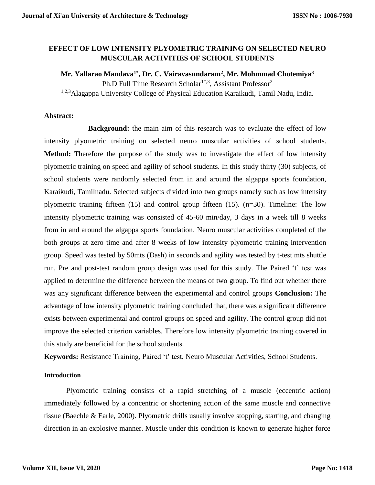## **EFFECT OF LOW INTENSITY PLYOMETRIC TRAINING ON SELECTED NEURO MUSCULAR ACTIVITIES OF SCHOOL STUDENTS**

**Mr. Yallarao Mandava1\* , Dr. C. Vairavasundaram<sup>2</sup> , Mr. Mohmmad Chotemiya<sup>3</sup>** Ph.D Full Time Research Scholar<sup>1\*,3</sup>, Assistant Professor<sup>2</sup>

1,2,3 Alagappa University College of Physical Education Karaikudi, Tamil Nadu, India.

#### **Abstract:**

**Background:** the main aim of this research was to evaluate the effect of low intensity plyometric training on selected neuro muscular activities of school students. **Method:** Therefore the purpose of the study was to investigate the effect of low intensity plyometric training on speed and agility of school students. In this study thirty (30) subjects, of school students were randomly selected from in and around the algappa sports foundation, Karaikudi, Tamilnadu. Selected subjects divided into two groups namely such as low intensity plyometric training fifteen (15) and control group fifteen (15). (n=30). Timeline: The low intensity plyometric training was consisted of 45-60 min/day, 3 days in a week till 8 weeks from in and around the algappa sports foundation. Neuro muscular activities completed of the both groups at zero time and after 8 weeks of low intensity plyometric training intervention group. Speed was tested by 50mts (Dash) in seconds and agility was tested by t-test mts shuttle run, Pre and post-test random group design was used for this study. The Paired 't' test was applied to determine the difference between the means of two group. To find out whether there was any significant difference between the experimental and control groups **Conclusion:** The advantage of low intensity plyometric training concluded that, there was a significant difference exists between experimental and control groups on speed and agility. The control group did not improve the selected criterion variables. Therefore low intensity plyometric training covered in this study are beneficial for the school students.

**Keywords:** Resistance Training, Paired 't' test, Neuro Muscular Activities, School Students.

#### **Introduction**

Plyometric training consists of a rapid stretching of a muscle (eccentric action) immediately followed by a concentric or shortening action of the same muscle and connective tissue (Baechle & Earle, 2000). Plyometric drills usually involve stopping, starting, and changing direction in an explosive manner. Muscle under this condition is known to generate higher force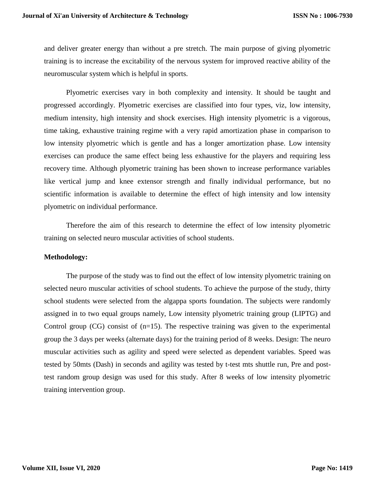and deliver greater energy than without a pre stretch. The main purpose of giving plyometric training is to increase the excitability of the nervous system for improved reactive ability of the neuromuscular system which is helpful in sports.

Plyometric exercises vary in both complexity and intensity. It should be taught and progressed accordingly. Plyometric exercises are classified into four types, viz, low intensity, medium intensity, high intensity and shock exercises. High intensity plyometric is a vigorous, time taking, exhaustive training regime with a very rapid amortization phase in comparison to low intensity plyometric which is gentle and has a longer amortization phase. Low intensity exercises can produce the same effect being less exhaustive for the players and requiring less recovery time. Although plyometric training has been shown to increase performance variables like vertical jump and knee extensor strength and finally individual performance, but no scientific information is available to determine the effect of high intensity and low intensity plyometric on individual performance.

Therefore the aim of this research to determine the effect of low intensity plyometric training on selected neuro muscular activities of school students.

#### **Methodology:**

The purpose of the study was to find out the effect of low intensity plyometric training on selected neuro muscular activities of school students. To achieve the purpose of the study, thirty school students were selected from the algappa sports foundation. The subjects were randomly assigned in to two equal groups namely, Low intensity plyometric training group (LIPTG) and Control group  $(CG)$  consist of  $(n=15)$ . The respective training was given to the experimental group the 3 days per weeks (alternate days) for the training period of 8 weeks. Design: The neuro muscular activities such as agility and speed were selected as dependent variables. Speed was tested by 50mts (Dash) in seconds and agility was tested by t-test mts shuttle run, Pre and posttest random group design was used for this study. After 8 weeks of low intensity plyometric training intervention group.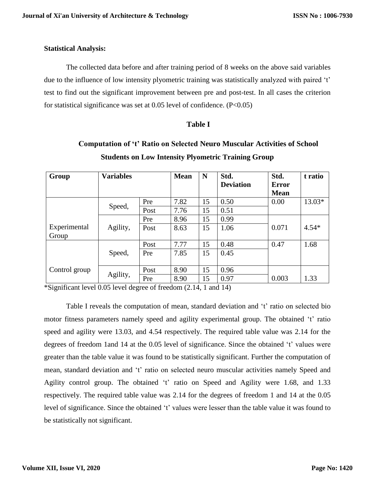## **Statistical Analysis:**

The collected data before and after training period of 8 weeks on the above said variables due to the influence of low intensity plyometric training was statistically analyzed with paired 't' test to find out the significant improvement between pre and post-test. In all cases the criterion for statistical significance was set at  $0.05$  level of confidence. (P<0.05)

## **Table I**

| Group                 | <b>Variables</b> |      | <b>Mean</b> | N  | Std.<br><b>Deviation</b> | Std.<br><b>Error</b><br><b>Mean</b> | t ratio  |
|-----------------------|------------------|------|-------------|----|--------------------------|-------------------------------------|----------|
|                       | Speed,           | Pre  | 7.82        | 15 | 0.50                     | 0.00                                | $13.03*$ |
|                       |                  | Post | 7.76        | 15 | 0.51                     |                                     |          |
|                       |                  | Pre  | 8.96        | 15 | 0.99                     |                                     |          |
| Experimental<br>Group | Agility,         | Post | 8.63        | 15 | 1.06                     | 0.071                               | $4.54*$  |
|                       |                  | Post | 7.77        | 15 | 0.48                     | 0.47                                | 1.68     |
|                       | Speed,           | Pre  | 7.85        | 15 | 0.45                     |                                     |          |
| Control group         | Agility,         | Post | 8.90        | 15 | 0.96                     |                                     |          |
|                       |                  | Pre  | 8.90        | 15 | 0.97                     | 0.003                               | 1.33     |

# **Computation of 't' Ratio on Selected Neuro Muscular Activities of School Students on Low Intensity Plyometric Training Group**

\*Significant level 0.05 level degree of freedom (2.14, 1 and 14)

Table I reveals the computation of mean, standard deviation and 't' ratio on selected bio motor fitness parameters namely speed and agility experimental group. The obtained 't' ratio speed and agility were 13.03, and 4.54 respectively. The required table value was 2.14 for the degrees of freedom 1and 14 at the 0.05 level of significance. Since the obtained 't' values were greater than the table value it was found to be statistically significant. Further the computation of mean, standard deviation and 't' ratio on selected neuro muscular activities namely Speed and Agility control group. The obtained 't' ratio on Speed and Agility were 1.68, and 1.33 respectively. The required table value was 2.14 for the degrees of freedom 1 and 14 at the 0.05 level of significance. Since the obtained 't' values were lesser than the table value it was found to be statistically not significant.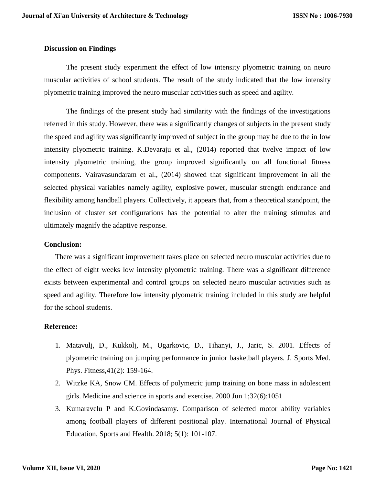### **Discussion on Findings**

The present study experiment the effect of low intensity plyometric training on neuro muscular activities of school students. The result of the study indicated that the low intensity plyometric training improved the neuro muscular activities such as speed and agility.

The findings of the present study had similarity with the findings of the investigations referred in this study. However, there was a significantly changes of subjects in the present study the speed and agility was significantly improved of subject in the group may be due to the in low intensity plyometric training. K.Devaraju et al., (2014) reported that twelve impact of low intensity plyometric training, the group improved significantly on all functional fitness components. Vairavasundaram et al., (2014) showed that significant improvement in all the selected physical variables namely agility, explosive power, muscular strength endurance and flexibility among handball players. Collectively, it appears that, from a theoretical standpoint, the inclusion of cluster set configurations has the potential to alter the training stimulus and ultimately magnify the adaptive response.

#### **Conclusion:**

There was a significant improvement takes place on selected neuro muscular activities due to the effect of eight weeks low intensity plyometric training. There was a significant difference exists between experimental and control groups on selected neuro muscular activities such as speed and agility. Therefore low intensity plyometric training included in this study are helpful for the school students.

## **Reference:**

- 1. Matavulj, D., Kukkolj, M., Ugarkovic, D., Tihanyi, J., Jaric, S. 2001. Effects of plyometric training on jumping performance in junior basketball players. J. Sports Med. Phys. Fitness,41(2): 159-164.
- 2. Witzke KA, Snow CM. Effects of polymetric jump training on bone mass in adolescent girls. Medicine and science in sports and exercise. 2000 Jun 1;32(6):1051
- 3. Kumaravelu P and K.Govindasamy. Comparison of selected motor ability variables among football players of different positional play. International Journal of Physical Education, Sports and Health. 2018; 5(1): 101-107.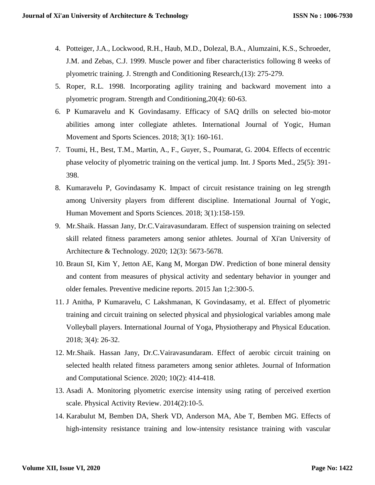- 4. Potteiger, J.A., Lockwood, R.H., Haub, M.D., Dolezal, B.A., Alumzaini, K.S., Schroeder, J.M. and Zebas, C.J. 1999. Muscle power and fiber characteristics following 8 weeks of plyometric training. J. Strength and Conditioning Research,(13): 275-279.
- 5. Roper, R.L. 1998. Incorporating agility training and backward movement into a plyometric program. Strength and Conditioning,20(4): 60-63.
- 6. P Kumaravelu and K Govindasamy. Efficacy of SAQ drills on selected bio-motor abilities among inter collegiate athletes. International Journal of Yogic, Human Movement and Sports Sciences. 2018; 3(1): 160-161.
- 7. Toumi, H., Best, T.M., Martin, A., F., Guyer, S., Poumarat, G. 2004. Effects of eccentric phase velocity of plyometric training on the vertical jump. Int. J Sports Med., 25(5): 391- 398.
- 8. Kumaravelu P, Govindasamy K. Impact of circuit resistance training on leg strength among University players from different discipline. International Journal of Yogic, Human Movement and Sports Sciences. 2018; 3(1):158-159.
- 9. Mr.Shaik. Hassan Jany, Dr.C.Vairavasundaram. Effect of suspension training on selected skill related fitness parameters among senior athletes. Journal of Xi'an University of Architecture & Technology. 2020; 12(3): 5673-5678.
- 10. Braun SI, Kim Y, Jetton AE, Kang M, Morgan DW. Prediction of bone mineral density and content from measures of physical activity and sedentary behavior in younger and older females. Preventive medicine reports. 2015 Jan 1;2:300-5.
- 11. J Anitha, P Kumaravelu, C Lakshmanan, K Govindasamy, et al. Effect of plyometric training and circuit training on selected physical and physiological variables among male Volleyball players. International Journal of Yoga, Physiotherapy and Physical Education. 2018; 3(4): 26-32.
- 12. Mr.Shaik. Hassan Jany, Dr.C.Vairavasundaram. Effect of aerobic circuit training on selected health related fitness parameters among senior athletes. Journal of Information and Computational Science. 2020; 10(2): 414-418.
- 13. Asadi A. Monitoring plyometric exercise intensity using rating of perceived exertion scale. Physical Activity Review. 2014(2):10-5.
- 14. Karabulut M, Bemben DA, Sherk VD, Anderson MA, Abe T, Bemben MG. Effects of high-intensity resistance training and low-intensity resistance training with vascular